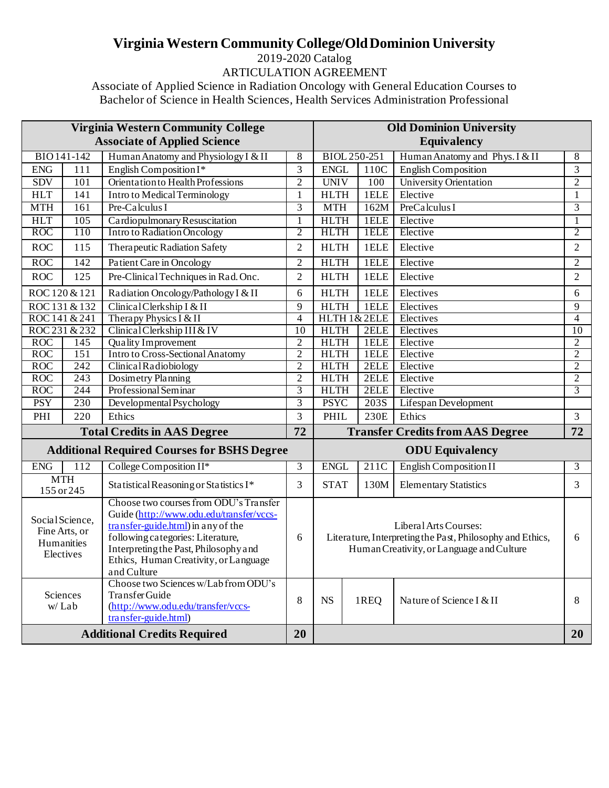## **Virginia Western Community College/Old Dominion University**

2019-2020 Catalog ARTICULATION AGREEMENT

Associate of Applied Science in Radiation Oncology with General Education Courses to Bachelor of Science in Health Sciences, Health Services Administration Professional

| <b>Virginia Western Community College</b>                   |                          |                                                                                                                                                                                                                                                                |                |                                                                                                                                 | <b>Old Dominion University</b> |                                         |                 |  |
|-------------------------------------------------------------|--------------------------|----------------------------------------------------------------------------------------------------------------------------------------------------------------------------------------------------------------------------------------------------------------|----------------|---------------------------------------------------------------------------------------------------------------------------------|--------------------------------|-----------------------------------------|-----------------|--|
| <b>Associate of Applied Science</b>                         |                          |                                                                                                                                                                                                                                                                |                | <b>Equivalency</b>                                                                                                              |                                |                                         |                 |  |
|                                                             | BIO 141-142              | Human Anatomy and Physiology I & II                                                                                                                                                                                                                            | $8\,$          |                                                                                                                                 | BIOL 250-251                   | Human Anatomy and Phys. I & II          | $8\,$           |  |
| <b>ENG</b>                                                  | 111                      | English Composition I*                                                                                                                                                                                                                                         | 3              | <b>ENGL</b>                                                                                                                     | 110C                           | <b>English Composition</b>              | $\overline{3}$  |  |
| <b>SDV</b>                                                  | 101                      | Orientation to Health Professions                                                                                                                                                                                                                              | $\overline{2}$ | <b>UNIV</b>                                                                                                                     | 100                            | <b>University Orientation</b>           | $\overline{2}$  |  |
| <b>HLT</b>                                                  | 141                      | Intro to Medical Terminology                                                                                                                                                                                                                                   | $\mathbf{1}$   | <b>HLTH</b>                                                                                                                     | 1ELE                           | Elective                                | $\mathbf{1}$    |  |
| <b>MTH</b>                                                  | 161                      | Pre-Calculus I                                                                                                                                                                                                                                                 | 3              | <b>MTH</b>                                                                                                                      | 162M                           | PreCalculus I                           | 3               |  |
| <b>HLT</b>                                                  | 105                      | Cardiopulmonary Resuscitation                                                                                                                                                                                                                                  | $\mathbf{1}$   | <b>HLTH</b>                                                                                                                     | 1ELE                           | Elective                                | $\mathbf{1}$    |  |
| <b>ROC</b>                                                  | 110                      | <b>Intro to Radiation Oncology</b>                                                                                                                                                                                                                             | $\overline{2}$ | <b>HLTH</b>                                                                                                                     | 1ELE                           | Elective                                | $\overline{2}$  |  |
| <b>ROC</b>                                                  | 115                      | <b>Therapeutic Radiation Safety</b>                                                                                                                                                                                                                            | $\overline{c}$ | <b>HLTH</b>                                                                                                                     | 1ELE                           | Elective                                | $\overline{2}$  |  |
| ROC                                                         | 142                      | Patient Care in Oncology                                                                                                                                                                                                                                       | $\overline{c}$ | <b>HLTH</b>                                                                                                                     | 1ELE                           | Elective                                | $\overline{2}$  |  |
| <b>ROC</b>                                                  | 125                      | Pre-Clinical Techniques in Rad. Onc.                                                                                                                                                                                                                           | $\overline{2}$ | <b>HLTH</b>                                                                                                                     | 1ELE                           | Elective                                | $\overline{2}$  |  |
| ROC 120 & 121                                               |                          | Radiation Oncology/Pathology I & II                                                                                                                                                                                                                            | 6              | <b>HLTH</b>                                                                                                                     | 1ELE                           | Electives                               | 6               |  |
|                                                             | ROC 131 & 132            | Clinical Clerkship I & II                                                                                                                                                                                                                                      | 9              | <b>HLTH</b>                                                                                                                     | 1ELE                           | Electives                               | $\overline{9}$  |  |
|                                                             | ROC 141 & 241            | Therapy Physics I & II                                                                                                                                                                                                                                         | $\overline{4}$ |                                                                                                                                 | HLTH 1&2ELE                    | Electives                               | $\overline{4}$  |  |
|                                                             | ROC 231 & 232            | Clinical Clerkship III & IV                                                                                                                                                                                                                                    | 10             | <b>HLTH</b>                                                                                                                     | 2ELE                           | Electives                               | $\overline{10}$ |  |
| <b>ROC</b>                                                  | 145                      | Quality Improvement                                                                                                                                                                                                                                            | $\overline{c}$ | <b>HLTH</b>                                                                                                                     | 1ELE                           | Elective                                | $\mathbf{2}$    |  |
| <b>ROC</b>                                                  | 151                      | <b>Intro to Cross-Sectional Anatomy</b>                                                                                                                                                                                                                        | $\overline{2}$ | <b>HLTH</b>                                                                                                                     | 1ELE                           | Elective                                | $\overline{2}$  |  |
| <b>ROC</b>                                                  | 242                      | Clinical Radiobiology                                                                                                                                                                                                                                          | $\overline{2}$ | <b>HLTH</b>                                                                                                                     | 2ELE                           | Elective                                | $\overline{2}$  |  |
| <b>ROC</b>                                                  | 243                      | Dosimetry Planning                                                                                                                                                                                                                                             | $\overline{2}$ | <b>HLTH</b>                                                                                                                     | 2ELE                           | Elective                                | $\overline{2}$  |  |
| <b>ROC</b>                                                  | 244                      | Professional Seminar                                                                                                                                                                                                                                           | 3              | <b>HLTH</b>                                                                                                                     | 2ELE                           | Elective                                | $\overline{3}$  |  |
| <b>PSY</b>                                                  | 230                      | Developmental Psychology                                                                                                                                                                                                                                       | $\overline{3}$ | <b>PSYC</b>                                                                                                                     | 203S                           | Lifespan Development                    |                 |  |
| PHI                                                         | 220                      | Ethics                                                                                                                                                                                                                                                         | 3              | PHIL                                                                                                                            | 230E                           | Ethics                                  | $\overline{3}$  |  |
| <b>Total Credits in AAS Degree</b>                          |                          |                                                                                                                                                                                                                                                                | 72             |                                                                                                                                 |                                | <b>Transfer Credits from AAS Degree</b> | 72              |  |
|                                                             |                          | <b>Additional Required Courses for BSHS Degree</b>                                                                                                                                                                                                             |                |                                                                                                                                 |                                | <b>ODU</b> Equivalency                  |                 |  |
| <b>ENG</b>                                                  | $11\overline{2}$         | College Composition II*                                                                                                                                                                                                                                        | 3              | <b>ENGL</b>                                                                                                                     | 211C                           | <b>English Composition II</b>           | 3               |  |
|                                                             | <b>MTH</b><br>155 or 245 | Statistical Reasoning or Statistics I*                                                                                                                                                                                                                         | 3              | <b>STAT</b>                                                                                                                     | 130M                           | <b>Elementary Statistics</b>            | 3               |  |
| Social Science,<br>Fine Arts, or<br>Humanities<br>Electives |                          | Choose two courses from ODU's Transfer<br>Guide (http://www.odu.edu/transfer/vccs-<br>transfer-guide.html) in any of the<br>following categories: Literature,<br>Interpreting the Past, Philosophy and<br>Ethics, Human Creativity, or Language<br>and Culture | 6              | Liberal Arts Courses:<br>Literature, Interpreting the Past, Philosophy and Ethics,<br>Human Creativity, or Language and Culture |                                |                                         |                 |  |
| Sciences<br>w/Lab                                           |                          | Choose two Sciences w/Lab from ODU's<br>Transfer Guide<br>(http://www.odu.edu/transfer/vccs-<br>transfer-guide.html)                                                                                                                                           | 8              | <b>NS</b>                                                                                                                       | 1REQ                           | Nature of Science I & II                | 8               |  |
| <b>Additional Credits Required</b>                          |                          |                                                                                                                                                                                                                                                                | 20             |                                                                                                                                 |                                |                                         | 20              |  |